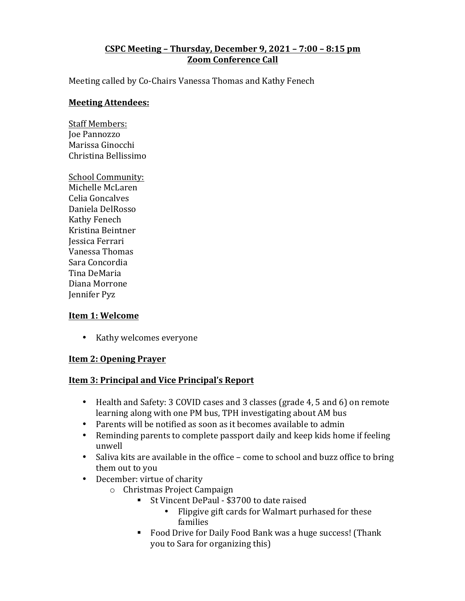### **CSPC Meeting – Thursday, December 9, 2021 – 7:00 – 8:15 pm Zoom Conference Call**

Meeting called by Co-Chairs Vanessa Thomas and Kathy Fenech

#### **Meeting Attendees:**

- Staff Members: Joe Pannozzo Marissa Ginocchi Christina Bellissimo
- School Community: Michelle McLaren Celia Goncalves Daniela DelRosso Kathy Fenech Kristina Beintner Jessica Ferrari Vanessa Thomas Sara Concordia Tina DeMaria Diana Morrone Jennifer Pyz

#### **Item 1: Welcome**

• Kathy welcomes everyone

### **Item 2: Opening Prayer**

### **Item 3: Principal and Vice Principal's Report**

- Health and Safety: 3 COVID cases and 3 classes (grade 4, 5 and 6) on remote learning along with one PM bus, TPH investigating about AM bus
- Parents will be notified as soon as it becomes available to admin
- Reminding parents to complete passport daily and keep kids home if feeling unwell
- Saliva kits are available in the office come to school and buzz office to bring them out to you
- December: virtue of charity
	- $\circ$  Christmas Project Campaign
		- St Vincent DePaul \$3700 to date raised
			- Flipgive gift cards for Walmart purhased for these families
		- Food Drive for Daily Food Bank was a huge success! (Thank you to Sara for organizing this)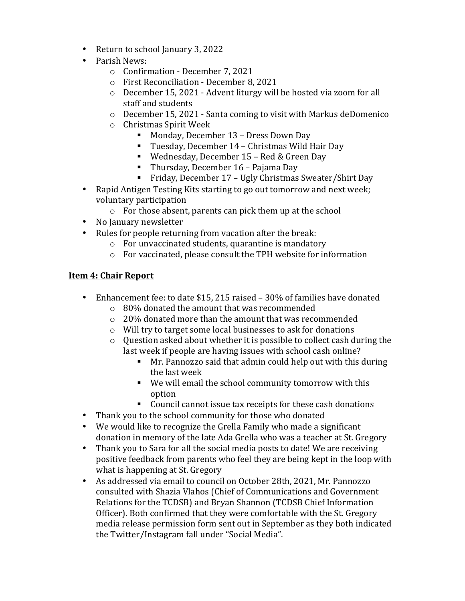- Return to school January 3, 2022
- Parish News:
	- o Confirmation December 7, 2021
	- o First Reconciliation December 8, 2021
	- $\circ$  December 15, 2021 Advent liturgy will be hosted via zoom for all staff and students
	- $\circ$  December 15, 2021 Santa coming to visit with Markus deDomenico
	- $\circ$  Christmas Spirit Week
		- Monday, December 13 Dress Down Day
		- Tuesday, December 14 Christmas Wild Hair Day
		- Wednesday, December 15 Red & Green Day
		- Thursday, December 16 Pajama Day
		- Friday, December 17 Ugly Christmas Sweater/Shirt Day
- Rapid Antigen Testing Kits starting to go out tomorrow and next week; voluntary participation
	- $\circ$  For those absent, parents can pick them up at the school
- No January newsletter
- Rules for people returning from vacation after the break:
	- $\circ$  For unvaccinated students, quarantine is mandatory
	- $\circ$  For vaccinated, please consult the TPH website for information

## **Item 4: Chair Report**

- Enhancement fee: to date \$15, 215 raised 30% of families have donated  $\circ$  80% donated the amount that was recommended
	- $\circ$  20% donated more than the amount that was recommended
	- $\circ$  Will try to target some local businesses to ask for donations
	- $\circ$  Question asked about whether it is possible to collect cash during the last week if people are having issues with school cash online?
		- **•** Mr. Pannozzo said that admin could help out with this during the last week
		- We will email the school community tomorrow with this option
		- Council cannot issue tax receipts for these cash donations
- Thank you to the school community for those who donated
- We would like to recognize the Grella Family who made a significant donation in memory of the late Ada Grella who was a teacher at St. Gregory
- Thank you to Sara for all the social media posts to date! We are receiving positive feedback from parents who feel they are being kept in the loop with what is happening at St. Gregory
- As addressed via email to council on October 28th, 2021, Mr. Pannozzo consulted with Shazia Vlahos (Chief of Communications and Government Relations for the TCDSB) and Bryan Shannon (TCDSB Chief Information Officer). Both confirmed that they were comfortable with the St. Gregory media release permission form sent out in September as they both indicated the Twitter/Instagram fall under "Social Media".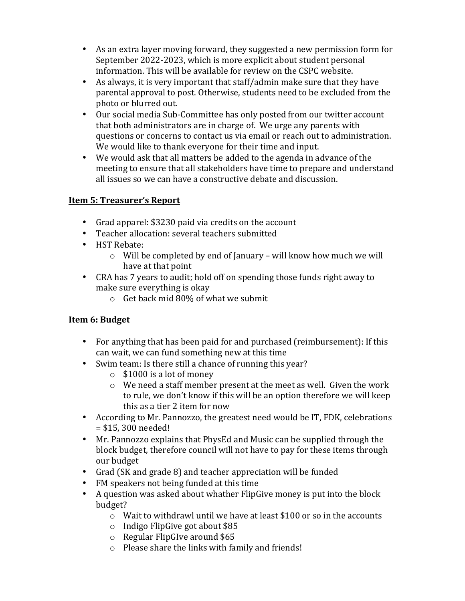- As an extra layer moving forward, they suggested a new permission form for September 2022-2023, which is more explicit about student personal information. This will be available for review on the CSPC website.
- As always, it is very important that staff/admin make sure that they have parental approval to post. Otherwise, students need to be excluded from the photo or blurred out.
- Our social media Sub-Committee has only posted from our twitter account that both administrators are in charge of. We urge any parents with questions or concerns to contact us via email or reach out to administration. We would like to thank everyone for their time and input.
- We would ask that all matters be added to the agenda in advance of the meeting to ensure that all stakeholders have time to prepare and understand all issues so we can have a constructive debate and discussion.

# **Item 5: Treasurer's Report**

- Grad apparel: \$3230 paid via credits on the account
- Teacher allocation: several teachers submitted
- HST Rebate:
	- $\circ$  Will be completed by end of January will know how much we will have at that point
- CRA has 7 years to audit; hold off on spending those funds right away to make sure everything is okay
	- $\circ$  Get back mid 80% of what we submit

# **Item 6: Budget**

- For anything that has been paid for and purchased (reimbursement): If this can wait, we can fund something new at this time
- Swim team: Is there still a chance of running this year?
	- $\circ$  \$1000 is a lot of money
	- $\circ$  We need a staff member present at the meet as well. Given the work to rule, we don't know if this will be an option therefore we will keep this as a tier 2 item for now
- According to Mr. Pannozzo, the greatest need would be IT, FDK, celebrations  $= $15, 300$  needed!
- Mr. Pannozzo explains that PhysEd and Music can be supplied through the block budget, therefore council will not have to pay for these items through our budget
- Grad (SK and grade 8) and teacher appreciation will be funded
- FM speakers not being funded at this time
- A question was asked about whather FlipGive money is put into the block budget?
	- $\circ$  Wait to withdrawl until we have at least \$100 or so in the accounts
	- $\circ$  Indigo FlipGive got about \$85
	- $\circ$  Regular FlipGIve around \$65
	- $\circ$  Please share the links with family and friends!